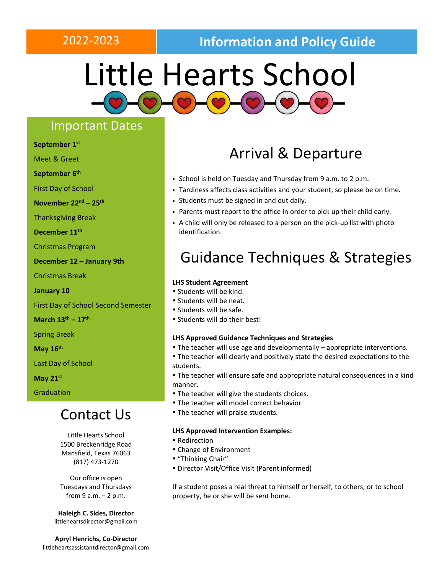## 2022-2023 **Information and Policy Guide**

# Little Hearts School

## Important Dates

**September 1 st**

Meet & Greet

**September 6 th**

First Day of School

**November 22 nd – 25 th**

Thanksgiving Break

**December 11th**

Christmas Program

**December 12 – January 9th**

Christmas Break

**January 10**

First Day of School Second Semester

**March 13 th – 17th**

Spring Break

**May 16th**

Last Day of School

**May 21st**

Graduation

## Contact Us

Little Hearts School 1500 Breckenridge Road Mansfield, Texas 76063 (817) 473-1270

Our office is open Tuesdays and Thursdays from  $9 a.m. - 2 p.m.$ 

**Haleigh C. Sides, Director** [littleheartsdirector@gmail.com](mailto:littleheartsdirector@gmail.com)

**Apryl Henrichs, Co-Director** littleheartsassistantdirector@gmail.com

## Arrival & Departure

- School is held on Tuesday and Thursday from 9 a.m. to 2 p.m.
- Tardiness affects class activities and your student, so please be on time.
- Students must be signed in and out daily.
- Parents must report to the office in order to pick up their child early.
- A child will only be released to a person on the pick-up list with photo identification.

## Guidance Techniques & Strategies

#### **LHS Student Agreement**

- Students will be kind.
- Students will be neat.
- Students will be safe.
- Students will do their best!

#### **LHS Approved Guidance Techniques and Strategies**

- The teacher will use age and developmentally appropriate interventions.
- The teacher will clearly and positively state the desired expectations to the students.
- The teacher will ensure safe and appropriate natural consequences in a kind manner.
- The teacher will give the students choices.
- The teacher will model correct behavior.
- The teacher will praise students.

### **LHS Approved Intervention Examples:**

- Redirection
- Change of Environment
- "Thinking Chair"
- Director Visit/Office Visit (Parent informed)

If a student poses a real threat to himself or herself, to others, or to school property, he or she will be sent home.